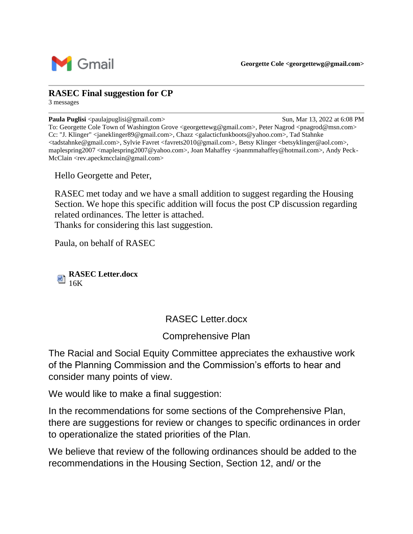

## **RASEC Final suggestion for CP**

3 messages

**Paula Puglisi** <paulajpuglisi@gmail.com> Sun, Mar 13, 2022 at 6:08 PM To: Georgette Cole Town of Washington Grove <georgettewg@gmail.com>, Peter Nagrod <pnagrod@msn.com> Cc: "J. Klinger" <janeklinger89@gmail.com>, Chazz <galacticfunkboots@yahoo.com>, Tad Stahnke <tadstahnke@gmail.com>, Sylvie Favret <favrets2010@gmail.com>, Betsy Klinger <betsyklinger@aol.com>, maplespring2007 <maplespring2007@yahoo.com>, Joan Mahaffey <joanmmahaffey@hotmail.com>, Andy Peck-McClain <rev.apeckmcclain@gmail.com>

Hello Georgette and Peter,

RASEC met today and we have a small addition to suggest regarding the Housing Section. We hope this specific addition will focus the post CP discussion regarding related ordinances. The letter is attached. Thanks for considering this last suggestion.

Paula, on behalf of RASEC

**RASEC Letter.docx**  $\frac{1}{16K}$ 

## RASEC Letter.docx

Comprehensive Plan

The Racial and Social Equity Committee appreciates the exhaustive work of the Planning Commission and the Commission's efforts to hear and consider many points of view.

We would like to make a final suggestion:

In the recommendations for some sections of the Comprehensive Plan, there are suggestions for review or changes to specific ordinances in order to operationalize the stated priorities of the Plan.

We believe that review of the following ordinances should be added to the recommendations in the Housing Section, Section 12, and/ or the